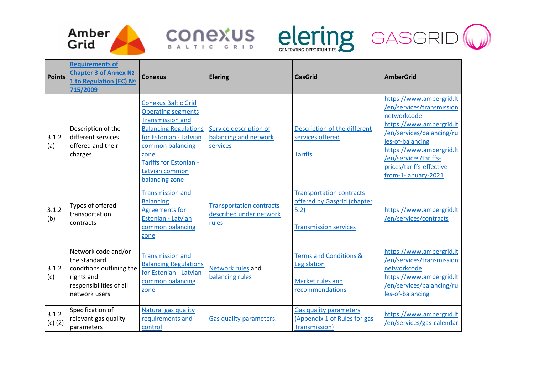







|                      | <b>Requirements of</b>                                                                                                    |                                                                                                                                                                                                                                        |                                                                     |                                                                                                        |                                                                                                                                                                                                                                                            |
|----------------------|---------------------------------------------------------------------------------------------------------------------------|----------------------------------------------------------------------------------------------------------------------------------------------------------------------------------------------------------------------------------------|---------------------------------------------------------------------|--------------------------------------------------------------------------------------------------------|------------------------------------------------------------------------------------------------------------------------------------------------------------------------------------------------------------------------------------------------------------|
| <b>Points</b>        | <b>Chapter 3 of Annex No</b><br>1 to Regulation (EC) No<br>715/2009                                                       | <b>Conexus</b>                                                                                                                                                                                                                         | <b>Elering</b>                                                      | <b>GasGrid</b>                                                                                         | <b>AmberGrid</b>                                                                                                                                                                                                                                           |
| 3.1.2<br>(a)         | Description of the<br>different services<br>offered and their<br>charges                                                  | <b>Conexus Baltic Grid</b><br><b>Operating segments</b><br><b>Transmission and</b><br><b>Balancing Regulations</b><br>for Estonian - Latvian<br>common balancing<br>zone<br>Tariffs for Estonian -<br>Latvian common<br>balancing zone | Service description of<br>balancing and network<br>services         | Description of the different<br>services offered<br><b>Tariffs</b>                                     | https://www.ambergrid.lt<br>/en/services/transmission<br>networkcode<br>https://www.ambergrid.lt<br>/en/services/balancing/ru<br>les-of-balancing<br>https://www.ambergrid.lt<br>/en/services/tariffs-<br>prices/tariffs-effective-<br>from-1-january-2021 |
| 3.1.2<br>(b)         | Types of offered<br>transportation<br>contracts                                                                           | <b>Transmission and</b><br><b>Balancing</b><br><b>Agreements for</b><br>Estonian - Latvian<br>common balancing<br>zone                                                                                                                 | <b>Transportation contracts</b><br>described under network<br>rules | <b>Transportation contracts</b><br>offered by Gasgrid (chapter<br>5.2)<br><b>Transmission services</b> | https://www.ambergrid.lt<br>/en/services/contracts                                                                                                                                                                                                         |
| 3.1.2<br>(c)         | Network code and/or<br>the standard<br>conditions outlining the<br>rights and<br>responsibilities of all<br>network users | <b>Transmission and</b><br><b>Balancing Regulations</b><br>for Estonian - Latvian<br>common balancing<br>zone                                                                                                                          | Network rules and<br>balancing rules                                | Terms and Conditions &<br>Legislation<br>Market rules and<br>recommendations                           | https://www.ambergrid.lt<br>/en/services/transmission<br>networkcode<br>https://www.ambergrid.lt<br>/en/services/balancing/ru<br>les-of-balancing                                                                                                          |
| 3.1.2<br>$(c)$ $(2)$ | Specification of<br>relevant gas quality<br>parameters                                                                    | Natural gas quality<br>requirements and<br>control                                                                                                                                                                                     | <b>Gas quality parameters.</b>                                      | <b>Gas quality parameters</b><br>(Appendix 1 of Rules for gas<br>Transmission)                         | https://www.ambergrid.lt<br>/en/services/gas-calendar                                                                                                                                                                                                      |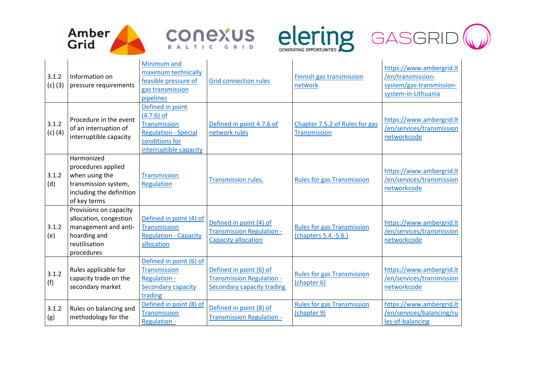







| 3.1.2<br>$(c)$ (3) | Information on<br>pressure requirements                                                                                 | Minimum and<br>maximum technically<br>feasible pressure of<br>gas transmission<br>pipelines                                        | <b>Grid connection rules</b>                                                                     | Finnish gas transmission<br>network                       | https://www.ambergrid.lt<br>/en/transmission-<br>system/gas-transmission-<br>system-in-Lithuania |
|--------------------|-------------------------------------------------------------------------------------------------------------------------|------------------------------------------------------------------------------------------------------------------------------------|--------------------------------------------------------------------------------------------------|-----------------------------------------------------------|--------------------------------------------------------------------------------------------------|
| 3.1.2<br>$(c)$ (4) | Procedure in the event<br>of an interruption of<br>interruptible capacity                                               | Defined in point<br>$(4.7.6)$ of<br><b>Transmission</b><br><b>Regulation - Special</b><br>conditions for<br>interruptible capacity | Defined in point 4.7.6 of<br>network rules                                                       | Chapter 7.5.2 of Rules for gas<br>Transmission            | https://www.ambergrid.lt<br>/en/services/transmission<br>networkcode                             |
| 3.1.2<br>(d)       | Harmonized<br>procedures applied<br>when using the<br>transmission system,<br>including the definition<br>of key terms  | <b>Transmission</b><br>Regulation                                                                                                  | Transmission rules.                                                                              | <b>Rules for gas Transmission</b>                         | https://www.ambergrid.lt<br>/en/services/transmission<br>networkcode                             |
| 3.1.2<br>(e)       | Provisions on capacity<br>allocation, congestion<br>management and anti-<br>hoarding and<br>reutilisation<br>procedures | Defined in point (4) of<br><b>Transmission</b><br><b>Regulation - Capacity</b><br>allocation                                       | Defined in point (4) of<br><b>Transmission Regulation -</b><br><b>Capacity allocation</b>        | <b>Rules for gas Transmission</b><br>(chapters 5.4.-5.6.) | https://www.ambergrid.lt<br>/en/services/transmission<br>networkcode                             |
| 3.1.2<br>(f)       | Rules applicable for<br>capacity trade on the<br>secondary market                                                       | Defined in point (6) of<br><b>Transmission</b><br><b>Regulation -</b><br>Secondary capacity<br>trading                             | Defined in point (6) of<br><b>Transmission Regulation -</b><br><b>Secondary capacity trading</b> | <b>Rules for gas Transmission</b><br>(chapter 6)          | https://www.ambergrid.lt<br>/en/services/transmission<br>networkcode                             |
| 3.1.2<br>(g)       | Rules on balancing and<br>methodology for the                                                                           | Defined in point (8) of<br><b>Transmission</b><br><b>Regulation -</b>                                                              | Defined in point (8) of<br><b>Transmission Regulation -</b>                                      | <b>Rules for gas Transmission</b><br>(chapter 9)          | https://www.ambergrid.lt<br>/en/services/balancing/ru<br>les-of-balancing                        |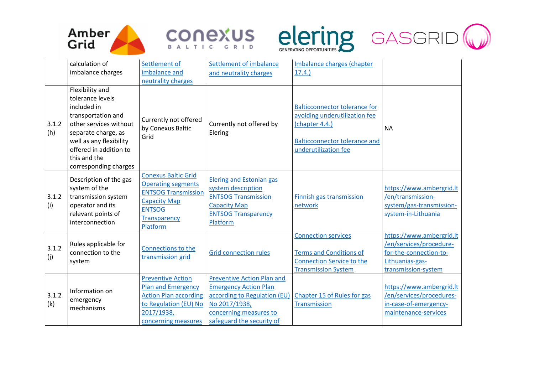







|              | calculation of                                                                                                                                                                                                          | Settlement of                                                                                                                                             | Settlement of imbalance                                                                                                                              | Imbalance charges (chapter                                                                                                                              |                                                                                                                         |
|--------------|-------------------------------------------------------------------------------------------------------------------------------------------------------------------------------------------------------------------------|-----------------------------------------------------------------------------------------------------------------------------------------------------------|------------------------------------------------------------------------------------------------------------------------------------------------------|---------------------------------------------------------------------------------------------------------------------------------------------------------|-------------------------------------------------------------------------------------------------------------------------|
|              | imbalance charges                                                                                                                                                                                                       | imbalance and                                                                                                                                             | and neutrality charges                                                                                                                               | 17.4.                                                                                                                                                   |                                                                                                                         |
|              |                                                                                                                                                                                                                         | neutrality charges                                                                                                                                        |                                                                                                                                                      |                                                                                                                                                         |                                                                                                                         |
| 3.1.2<br>(h) | Flexibility and<br>tolerance levels<br>included in<br>transportation and<br>other services without<br>separate charge, as<br>well as any flexibility<br>offered in addition to<br>this and the<br>corresponding charges | Currently not offered<br>by Conexus Baltic<br>Grid                                                                                                        | Currently not offered by<br>Elering                                                                                                                  | <b>Balticconnector tolerance for</b><br>avoiding underutilization fee<br>(chapter 4.4.)<br><b>Balticconnector tolerance and</b><br>underutilization fee | <b>NA</b>                                                                                                               |
| 3.1.2<br>(i) | Description of the gas<br>system of the<br>transmission system<br>operator and its<br>relevant points of<br>interconnection                                                                                             | <b>Conexus Baltic Grid</b><br><b>Operating segments</b><br><b>ENTSOG Transmission</b><br><b>Capacity Map</b><br><b>ENTSOG</b><br>Transparency<br>Platform | <b>Elering and Estonian gas</b><br>system description<br><b>ENTSOG Transmission</b><br><b>Capacity Map</b><br><b>ENTSOG Transparency</b><br>Platform | Finnish gas transmission<br>network                                                                                                                     | https://www.ambergrid.lt<br>/en/transmission-<br>system/gas-transmission-<br>system-in-Lithuania                        |
| 3.1.2<br>(j) | Rules applicable for<br>connection to the<br>system                                                                                                                                                                     | Connections to the<br>transmission grid                                                                                                                   | <b>Grid connection rules</b>                                                                                                                         | <b>Connection services</b><br><b>Terms and Conditions of</b><br><b>Connection Service to the</b><br><b>Transmission System</b>                          | https://www.ambergrid.lt<br>/en/services/procedure-<br>for-the-connection-to-<br>Lithuanias-gas-<br>transmission-system |
|              |                                                                                                                                                                                                                         | <b>Preventive Action</b>                                                                                                                                  | <b>Preventive Action Plan and</b>                                                                                                                    |                                                                                                                                                         |                                                                                                                         |
| 3.1.2<br>(k) | Information on<br>emergency<br>mechanisms                                                                                                                                                                               | <b>Plan and Emergency</b>                                                                                                                                 | <b>Emergency Action Plan</b>                                                                                                                         |                                                                                                                                                         | https://www.ambergrid.lt                                                                                                |
|              |                                                                                                                                                                                                                         | <b>Action Plan according</b>                                                                                                                              | according to Regulation (EU)                                                                                                                         | Chapter 15 of Rules for gas                                                                                                                             | /en/services/procedures-                                                                                                |
|              |                                                                                                                                                                                                                         | to Regulation (EU) No                                                                                                                                     | No 2017/1938,                                                                                                                                        | Transmission                                                                                                                                            | in-case-of-emergency-                                                                                                   |
|              |                                                                                                                                                                                                                         | 2017/1938,                                                                                                                                                | concerning measures to                                                                                                                               |                                                                                                                                                         | maintenance-services                                                                                                    |
|              |                                                                                                                                                                                                                         | concerning measures                                                                                                                                       | safeguard the security of                                                                                                                            |                                                                                                                                                         |                                                                                                                         |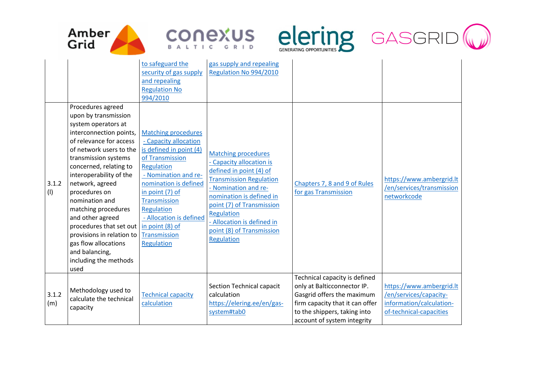







| 3.1.2<br>(1) | Procedures agreed<br>upon by transmission<br>system operators at<br>interconnection points,<br>of relevance for access<br>of network users to the<br>transmission systems<br>concerned, relating to<br>interoperability of the<br>network, agreed<br>procedures on<br>nomination and<br>matching procedures<br>and other agreed<br>procedures that set out<br>provisions in relation to<br>gas flow allocations<br>and balancing,<br>including the methods | to safeguard the<br>security of gas supply<br>and repealing<br><b>Regulation No</b><br>994/2010<br><b>Matching procedures</b><br>- Capacity allocation<br>is defined in point (4)<br>of Transmission<br>Regulation<br>- Nomination and re-<br>nomination is defined<br>in point (7) of<br><b>Transmission</b><br>Regulation<br>- Allocation is defined<br>in point (8) of<br>Transmission<br>Regulation | gas supply and repealing<br>Regulation No 994/2010<br><b>Matching procedures</b><br>- Capacity allocation is<br>defined in point (4) of<br><b>Transmission Regulation</b><br>- Nomination and re-<br>nomination is defined in<br>point (7) of Transmission<br>Regulation<br>- Allocation is defined in<br>point (8) of Transmission<br>Regulation | Chapters 7, 8 and 9 of Rules<br>for gas Transmission                                                                                                                                         | https://www.ambergrid.lt<br>/en/services/transmission<br>networkcode                                      |
|--------------|------------------------------------------------------------------------------------------------------------------------------------------------------------------------------------------------------------------------------------------------------------------------------------------------------------------------------------------------------------------------------------------------------------------------------------------------------------|---------------------------------------------------------------------------------------------------------------------------------------------------------------------------------------------------------------------------------------------------------------------------------------------------------------------------------------------------------------------------------------------------------|---------------------------------------------------------------------------------------------------------------------------------------------------------------------------------------------------------------------------------------------------------------------------------------------------------------------------------------------------|----------------------------------------------------------------------------------------------------------------------------------------------------------------------------------------------|-----------------------------------------------------------------------------------------------------------|
| 3.1.2<br>(m) | used<br>Methodology used to<br>calculate the technical<br>capacity                                                                                                                                                                                                                                                                                                                                                                                         | <b>Technical capacity</b><br>calculation                                                                                                                                                                                                                                                                                                                                                                | Section Technical capacit<br>calculation<br>https://elering.ee/en/gas-<br>system#tab0                                                                                                                                                                                                                                                             | Technical capacity is defined<br>only at Balticconnector IP.<br>Gasgrid offers the maximum<br>firm capacity that it can offer<br>to the shippers, taking into<br>account of system integrity | https://www.ambergrid.lt<br>/en/services/capacity-<br>information/calculation-<br>of-technical-capacities |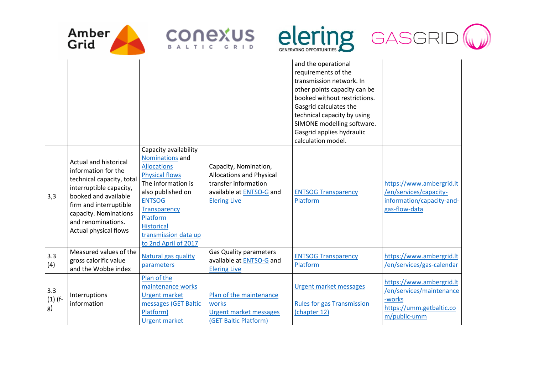

 $\mathbf{I}$ 







| 3,3                    | <b>Actual and historical</b><br>information for the<br>technical capacity, total<br>interruptible capacity,<br>booked and available<br>firm and interruptible<br>capacity. Nominations<br>and renominations.<br>Actual physical flows | Nominations and<br><b>Allocations</b><br><b>Physical flows</b><br>The information is<br>also published on<br><b>ENTSOG</b><br><b>Transparency</b><br>Platform<br><b>Historical</b><br>transmission data up<br>to 2nd April of 2017 | Capacity, Nomination,<br><b>Allocations and Physical</b><br>transfer information<br>available at ENTSO-G and<br><b>Elering Live</b> | <b>ENTSOG Transparency</b><br>Platform                                      | https://www.ambergrid.lt<br>/en/services/capacity-<br>information/capacity-and-<br>gas-flow-data           |
|------------------------|---------------------------------------------------------------------------------------------------------------------------------------------------------------------------------------------------------------------------------------|------------------------------------------------------------------------------------------------------------------------------------------------------------------------------------------------------------------------------------|-------------------------------------------------------------------------------------------------------------------------------------|-----------------------------------------------------------------------------|------------------------------------------------------------------------------------------------------------|
| 3.3<br>(4)             | Measured values of the<br>gross calorific value<br>and the Wobbe index                                                                                                                                                                | <b>Natural gas quality</b><br>parameters                                                                                                                                                                                           | <b>Gas Quality parameters</b><br>available at ENTSO-G and<br><b>Elering Live</b>                                                    | <b>ENTSOG Transparency</b><br>Platform                                      | https://www.ambergrid.lt<br>/en/services/gas-calendar                                                      |
| 3.3<br>$(1)$ (f-<br>g) | Interruptions<br>information                                                                                                                                                                                                          | Plan of the<br>maintenance works<br><b>Urgent market</b><br>messages (GET Baltic<br>Platform)<br><b>Urgent market</b>                                                                                                              | Plan of the maintenance<br>works<br>Urgent market messages<br>(GET Baltic Platform)                                                 | Urgent market messages<br><b>Rules for gas Transmission</b><br>(chapter 12) | https://www.ambergrid.lt<br>/en/services/maintenance<br>-works<br>https://umm.getbaltic.co<br>m/public-umm |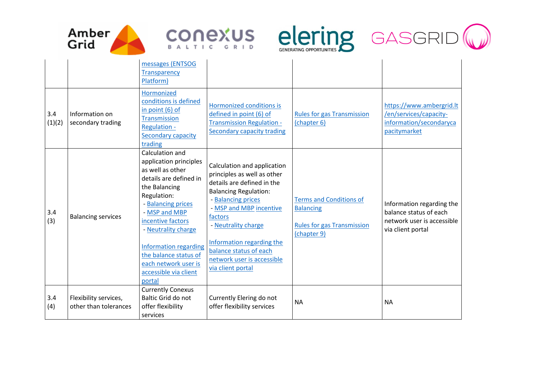







| 3.4<br>(1)(2) | Information on<br>secondary trading            | messages (ENTSOG<br><b>Transparency</b><br>Platform)<br>Hormonized<br>conditions is defined<br>in point $(6)$ of<br><b>Transmission</b><br><b>Regulation -</b><br>Secondary capacity<br>trading                                                                                                                                | Hormonized conditions is<br>defined in point (6) of<br><b>Transmission Regulation -</b><br><b>Secondary capacity trading</b>                                                                                                                                                                                          | <b>Rules for gas Transmission</b><br>(chapter 6)                                                       | https://www.ambergrid.lt<br>/en/services/capacity-<br>information/secondaryca<br>pacitymarket          |
|---------------|------------------------------------------------|--------------------------------------------------------------------------------------------------------------------------------------------------------------------------------------------------------------------------------------------------------------------------------------------------------------------------------|-----------------------------------------------------------------------------------------------------------------------------------------------------------------------------------------------------------------------------------------------------------------------------------------------------------------------|--------------------------------------------------------------------------------------------------------|--------------------------------------------------------------------------------------------------------|
| 3.4<br>(3)    | <b>Balancing services</b>                      | Calculation and<br>application principles<br>as well as other<br>details are defined in<br>the Balancing<br>Regulation:<br>- Balancing prices<br>- MSP and MBP<br>incentive factors<br>- Neutrality charge<br><b>Information regarding</b><br>the balance status of<br>each network user is<br>accessible via client<br>portal | Calculation and application<br>principles as well as other<br>details are defined in the<br><b>Balancing Regulation:</b><br>- Balancing prices<br>- MSP and MBP incentive<br>factors<br>- Neutrality charge<br>Information regarding the<br>balance status of each<br>network user is accessible<br>via client portal | <b>Terms and Conditions of</b><br><b>Balancing</b><br><b>Rules for gas Transmission</b><br>(chapter 9) | Information regarding the<br>balance status of each<br>network user is accessible<br>via client portal |
| 3.4<br>(4)    | Flexibility services,<br>other than tolerances | <b>Currently Conexus</b><br>Baltic Grid do not<br>offer flexibility<br>services                                                                                                                                                                                                                                                | Currently Elering do not<br>offer flexibility services                                                                                                                                                                                                                                                                | <b>NA</b>                                                                                              | <b>NA</b>                                                                                              |